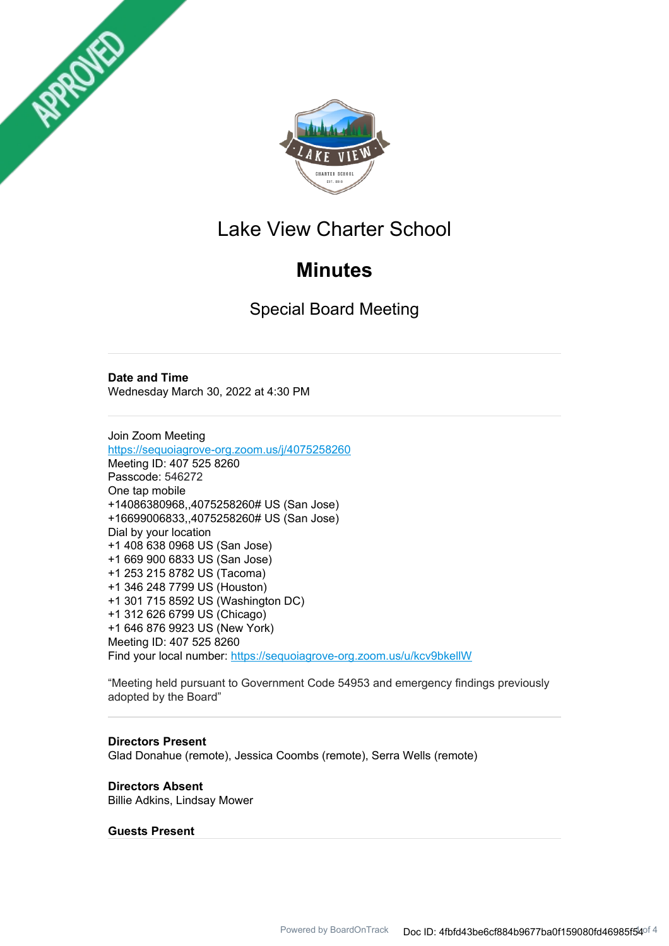



## Lake View Charter School

# **Minutes**

Special Board Meeting

## **Date and Time**

Wednesday March 30, 2022 at 4:30 PM

Join Zoom Meeting https://sequoiagrove-org.zoom.us/j/4075258260 Meeting ID: 407 525 8260 Passcode: 546272 One tap mobile +14086380968,,4075258260# US (San Jose) +16699006833,,4075258260# US (San Jose) Dial by your location +1 408 638 0968 US (San Jose) +1 669 900 6833 US (San Jose) +1 253 215 8782 US (Tacoma) +1 346 248 7799 US (Houston) +1 301 715 8592 US (Washington DC) +1 312 626 6799 US (Chicago) +1 646 876 9923 US (New York) Meeting ID: 407 525 8260 Find your local number: https://sequoiagrove-org.zoom.us/u/kcv9bkellW

"Meeting held pursuant to Government Code 54953 and emergency findings previously adopted by the Board"

## **Directors Present**

Glad Donahue (remote), Jessica Coombs (remote), Serra Wells (remote)

**Directors Absent** Billie Adkins, Lindsay Mower

## **Guests Present**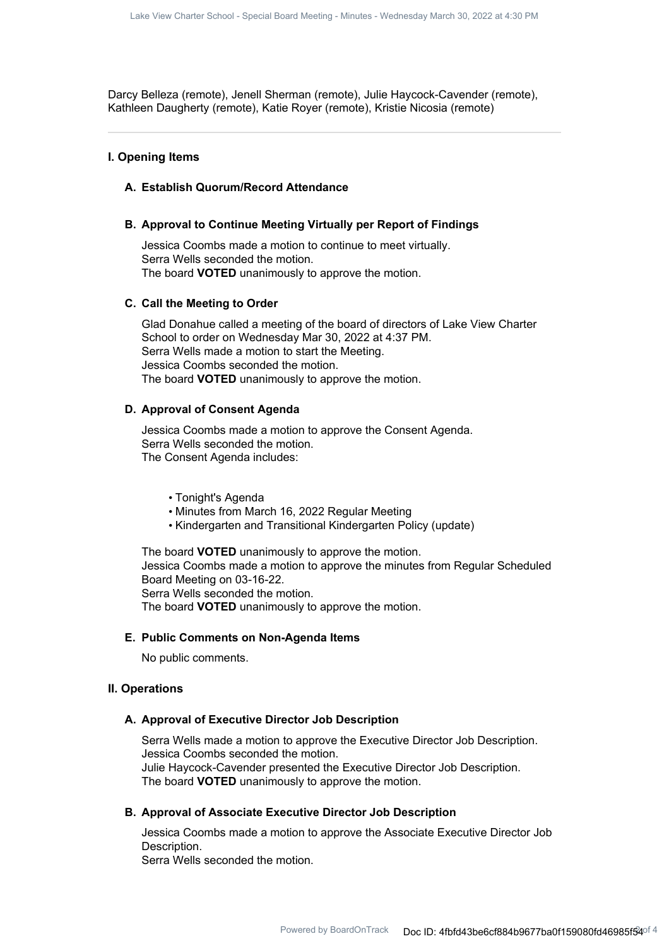Darcy Belleza (remote), Jenell Sherman (remote), Julie Haycock-Cavender (remote), Kathleen Daugherty (remote), Katie Royer (remote), Kristie Nicosia (remote)

## **I. Opening Items**

## **A. Establish Quorum/Record Attendance**

## **B. Approval to Continue Meeting Virtually per Report of Findings**

Jessica Coombs made a motion to continue to meet virtually. Serra Wells seconded the motion. The board **VOTED** unanimously to approve the motion.

#### **C. Call the Meeting to Order**

Glad Donahue called a meeting of the board of directors of Lake View Charter School to order on Wednesday Mar 30, 2022 at 4:37 PM. Serra Wells made a motion to start the Meeting. Jessica Coombs seconded the motion. The board **VOTED** unanimously to approve the motion.

## **D. Approval of Consent Agenda**

Jessica Coombs made a motion to approve the Consent Agenda. Serra Wells seconded the motion. The Consent Agenda includes:

#### • Tonight's Agenda

- Minutes from March 16, 2022 Regular Meeting
- Kindergarten and Transitional Kindergarten Policy (update)

The board **VOTED** unanimously to approve the motion. Jessica Coombs made a motion to approve the minutes from Regular Scheduled Board Meeting on 03-16-22. Serra Wells seconded the motion. The board **VOTED** unanimously to approve the motion.

#### **E. Public Comments on Non-Agenda Items**

No public comments.

#### **II. Operations**

#### **A. Approval of Executive Director Job Description**

Serra Wells made a motion to approve the Executive Director Job Description. Jessica Coombs seconded the motion. Julie Haycock-Cavender presented the Executive Director Job Description. The board **VOTED** unanimously to approve the motion.

#### **B. Approval of Associate Executive Director Job Description**

Jessica Coombs made a motion to approve the Associate Executive Director Job Description. Serra Wells seconded the motion.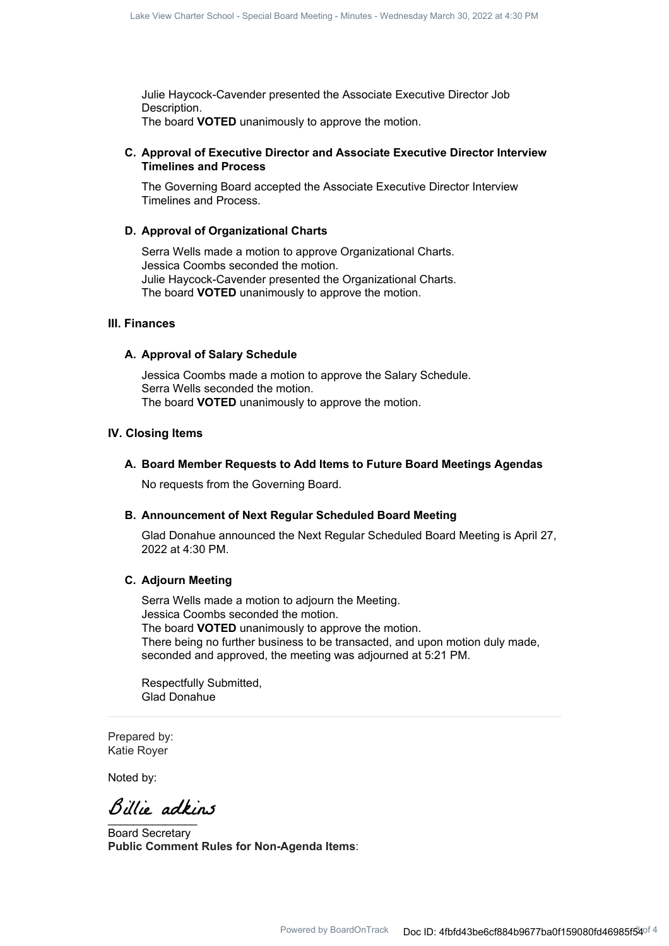Julie Haycock-Cavender presented the Associate Executive Director Job Description. The board **VOTED** unanimously to approve the motion.

## **Approval of Executive Director and Associate Executive Director Interview C. Timelines and Process**

The Governing Board accepted the Associate Executive Director Interview Timelines and Process.

#### **D. Approval of Organizational Charts**

Serra Wells made a motion to approve Organizational Charts. Jessica Coombs seconded the motion. Julie Haycock-Cavender presented the Organizational Charts. The board **VOTED** unanimously to approve the motion.

#### **III. Finances**

## **A. Approval of Salary Schedule**

Jessica Coombs made a motion to approve the Salary Schedule. Serra Wells seconded the motion. The board **VOTED** unanimously to approve the motion.

#### **IV. Closing Items**

#### **A. Board Member Requests to Add Items to Future Board Meetings Agendas**

No requests from the Governing Board.

#### **B. Announcement of Next Regular Scheduled Board Meeting**

Glad Donahue announced the Next Regular Scheduled Board Meeting is April 27, 2022 at 4:30 PM.

## **C. Adjourn Meeting**

Serra Wells made a motion to adjourn the Meeting. Jessica Coombs seconded the motion. The board **VOTED** unanimously to approve the motion. There being no further business to be transacted, and upon motion duly made, seconded and approved, the meeting was adjourned at 5:21 PM.

Respectfully Submitted, Glad Donahue

Prepared by: Katie Royer

Noted by:

 $\overline{\phantom{a}}$ 

Board Secretary **Public Comment Rules for Non-Agenda Items**: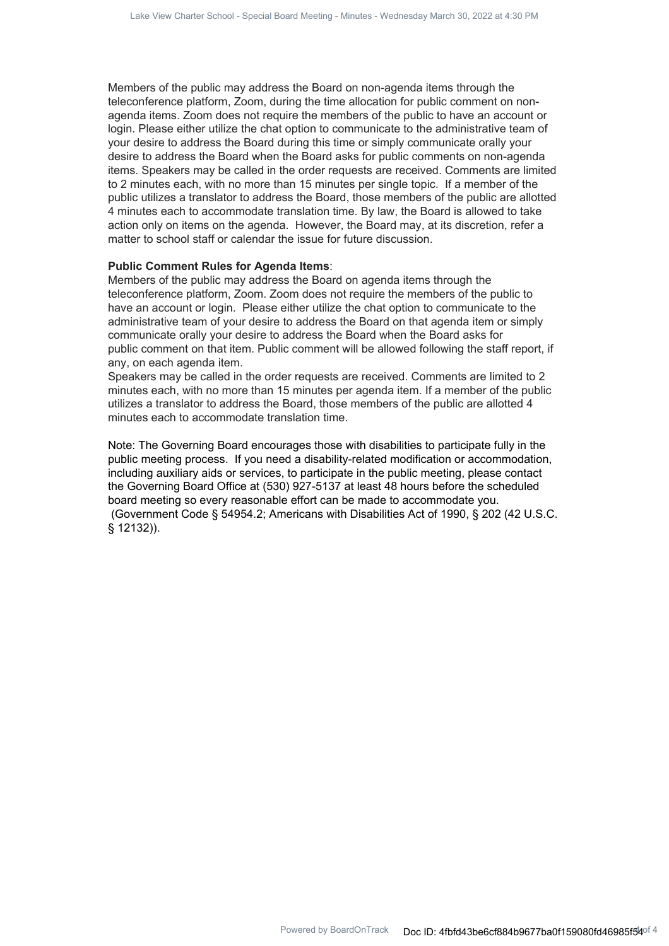Members of the public may address the Board on non-agenda items through the teleconference platform, Zoom, during the time allocation for public comment on nonagenda items. Zoom does not require the members of the public to have an account or login. Please either utilize the chat option to communicate to the administrative team of your desire to address the Board during this time or simply communicate orally your desire to address the Board when the Board asks for public comments on non-agenda items. Speakers may be called in the order requests are received. Comments are limited to 2 minutes each, with no more than 15 minutes per single topic. If a member of the public utilizes a translator to address the Board, those members of the public are allotted 4 minutes each to accommodate translation time. By law, the Board is allowed to take action only on items on the agenda. However, the Board may, at its discretion, refer a matter to school staff or calendar the issue for future discussion.

#### **Public Comment Rules for Agenda Items**:

Members of the public may address the Board on agenda items through the teleconference platform, Zoom. Zoom does not require the members of the public to have an account or login. Please either utilize the chat option to communicate to the administrative team of your desire to address the Board on that agenda item or simply communicate orally your desire to address the Board when the Board asks for public comment on that item. Public comment will be allowed following the staff report, if any, on each agenda item.

Speakers may be called in the order requests are received. Comments are limited to 2 minutes each, with no more than 15 minutes per agenda item. If a member of the public utilizes a translator to address the Board, those members of the public are allotted 4 minutes each to accommodate translation time.

Note: The Governing Board encourages those with disabilities to participate fully in the public meeting process. If you need a disability-related modification or accommodation, including auxiliary aids or services, to participate in the public meeting, please contact the Governing Board Office at (530) 927-5137 at least 48 hours before the scheduled board meeting so every reasonable effort can be made to accommodate you. (Government Code § 54954.2; Americans with Disabilities Act of 1990, § 202 (42 U.S.C. § 12132)).